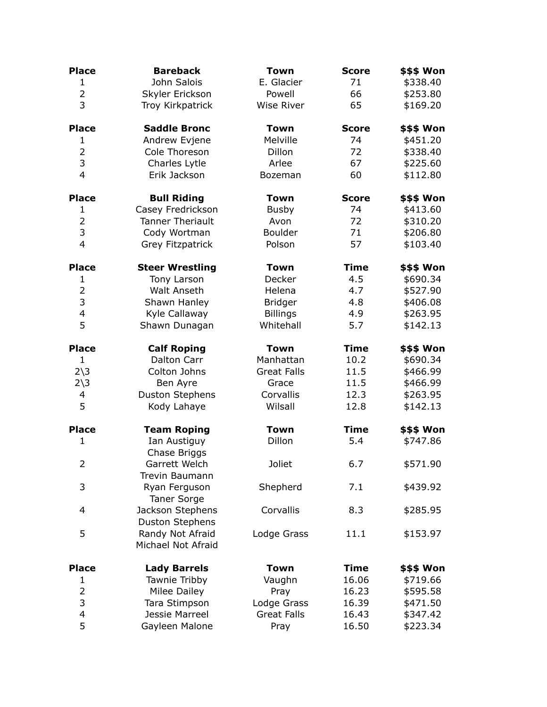| <b>Place</b>           | <b>Bareback</b>                            | <b>Town</b>        | <b>Score</b> | \$\$\$ Won        |
|------------------------|--------------------------------------------|--------------------|--------------|-------------------|
| $\mathbf{1}$           | John Salois                                | E. Glacier         | 71           | \$338.40          |
| $\overline{2}$         | Skyler Erickson                            | Powell             | 66           | \$253.80          |
| 3                      | Troy Kirkpatrick                           | <b>Wise River</b>  | 65           | \$169.20          |
| <b>Place</b>           | <b>Saddle Bronc</b>                        | <b>Town</b>        | <b>Score</b> | <b>\$\$\$ Won</b> |
| 1                      | Andrew Evjene                              | Melville           | 74           | \$451.20          |
| $\overline{2}$         | Cole Thoreson                              | Dillon             | 72           | \$338.40          |
| 3                      | Charles Lytle                              | Arlee              | 67           | \$225.60          |
| $\overline{4}$         | Erik Jackson                               | Bozeman            | 60           | \$112.80          |
| <b>Place</b>           | <b>Bull Riding</b>                         | <b>Town</b>        | <b>Score</b> | \$\$\$ Won        |
| 1                      | Casey Fredrickson                          | <b>Busby</b>       | 74           | \$413.60          |
| $\overline{2}$         | <b>Tanner Theriault</b>                    | Avon               | 72           | \$310.20          |
| 3                      | Cody Wortman                               | Boulder            | 71           | \$206.80          |
| $\overline{4}$         | Grey Fitzpatrick                           | Polson             | 57           | \$103.40          |
| <b>Place</b>           | <b>Steer Wrestling</b>                     | <b>Town</b>        | <b>Time</b>  | \$\$\$ Won        |
| 1                      | Tony Larson                                | Decker             | 4.5          | \$690.34          |
| $\overline{2}$         | <b>Walt Anseth</b>                         | Helena             | 4.7          | \$527.90          |
| $\mathsf 3$            | Shawn Hanley                               | <b>Bridger</b>     | 4.8          | \$406.08          |
| $\overline{4}$         | Kyle Callaway                              | <b>Billings</b>    | 4.9          | \$263.95          |
| 5                      | Shawn Dunagan                              | Whitehall          | 5.7          | \$142.13          |
| <b>Place</b>           | <b>Calf Roping</b>                         | <b>Town</b>        | <b>Time</b>  | \$\$\$ Won        |
| $\mathbf{1}$           | Dalton Carr                                | Manhattan          | 10.2         | \$690.34          |
| $2\overline{\smash)3}$ | Colton Johns                               | <b>Great Falls</b> | 11.5         | \$466.99          |
| $2\overline{\smash)3}$ | Ben Ayre                                   | Grace              | 11.5         | \$466.99          |
| 4                      | <b>Duston Stephens</b>                     | Corvallis          | 12.3         | \$263.95          |
| 5                      | Kody Lahaye                                | Wilsall            | 12.8         | \$142.13          |
| <b>Place</b>           | <b>Team Roping</b>                         | <b>Town</b>        | <b>Time</b>  | \$\$\$ Won        |
| $\mathbf{1}$           | Ian Austiguy<br>Chase Briggs               | Dillon             | 5.4          | \$747.86          |
| $\overline{2}$         | Garrett Welch<br>Trevin Baumann            | Joliet             | 6.7          | \$571.90          |
| 3                      | Ryan Ferguson<br><b>Taner Sorge</b>        | Shepherd           | 7.1          | \$439.92          |
| 4                      | Jackson Stephens<br><b>Duston Stephens</b> | Corvallis          | 8.3          | \$285.95          |
| 5                      | Randy Not Afraid<br>Michael Not Afraid     | Lodge Grass        | 11.1         | \$153.97          |
| <b>Place</b>           | <b>Lady Barrels</b>                        | <b>Town</b>        | <b>Time</b>  | <b>\$\$\$ Won</b> |
| 1                      | Tawnie Tribby                              | Vaughn             | 16.06        | \$719.66          |
| 2                      | Milee Dailey                               | Pray               | 16.23        | \$595.58          |
| 3                      | Tara Stimpson                              | Lodge Grass        | 16.39        | \$471.50          |
| 4                      | Jessie Marreel                             | <b>Great Falls</b> | 16.43        | \$347.42          |
| 5                      | Gayleen Malone                             | Pray               | 16.50        | \$223.34          |